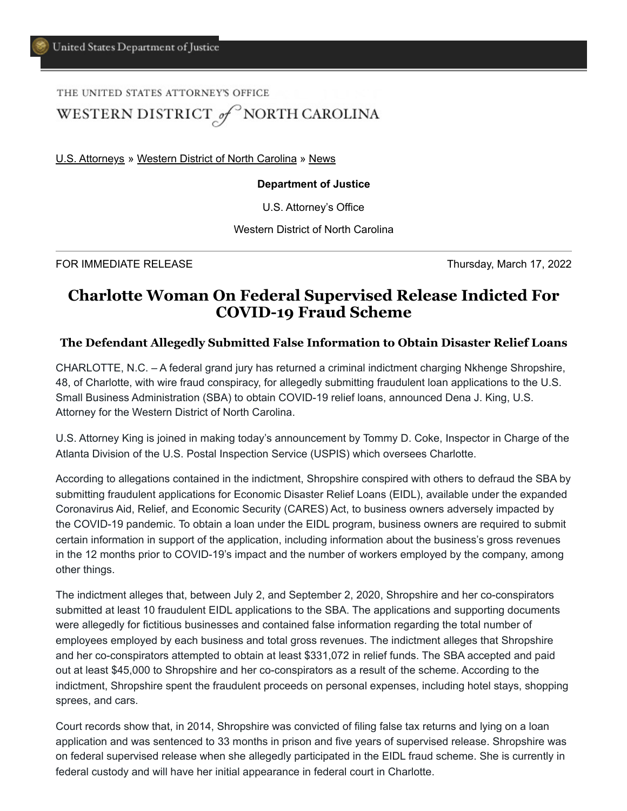THE UNITED STATES ATTORNEY'S OFFICE

## WESTERN DISTRICT of NORTH CAROLINA

[U.S. Attorneys](https://www.justice.gov/usao) » [Western District of North Carolina](https://www.justice.gov/usao-wdnc) » [News](https://www.justice.gov/usao-wdnc/pr)

## **Department of Justice**

U.S. Attorney's Office

Western District of North Carolina

FOR IMMEDIATE RELEASE THE SECOND STATE RELEASE Thursday, March 17, 2022

## **Charlotte Woman On Federal Supervised Release Indicted For COVID-19 Fraud Scheme**

## **The Defendant Allegedly Submitted False Information to Obtain Disaster Relief Loans**

CHARLOTTE, N.C. – A federal grand jury has returned a criminal indictment charging Nkhenge Shropshire, 48, of Charlotte, with wire fraud conspiracy, for allegedly submitting fraudulent loan applications to the U.S. Small Business Administration (SBA) to obtain COVID-19 relief loans, announced Dena J. King, U.S. Attorney for the Western District of North Carolina.

U.S. Attorney King is joined in making today's announcement by Tommy D. Coke, Inspector in Charge of the Atlanta Division of the U.S. Postal Inspection Service (USPIS) which oversees Charlotte.

According to allegations contained in the indictment, Shropshire conspired with others to defraud the SBA by submitting fraudulent applications for Economic Disaster Relief Loans (EIDL), available under the expanded Coronavirus Aid, Relief, and Economic Security (CARES) Act, to business owners adversely impacted by the COVID-19 pandemic. To obtain a loan under the EIDL program, business owners are required to submit certain information in support of the application, including information about the business's gross revenues in the 12 months prior to COVID-19's impact and the number of workers employed by the company, among other things.

The indictment alleges that, between July 2, and September 2, 2020, Shropshire and her co-conspirators submitted at least 10 fraudulent EIDL applications to the SBA. The applications and supporting documents were allegedly for fictitious businesses and contained false information regarding the total number of employees employed by each business and total gross revenues. The indictment alleges that Shropshire and her co-conspirators attempted to obtain at least \$331,072 in relief funds. The SBA accepted and paid out at least \$45,000 to Shropshire and her co-conspirators as a result of the scheme. According to the indictment, Shropshire spent the fraudulent proceeds on personal expenses, including hotel stays, shopping sprees, and cars.

Court records show that, in 2014, Shropshire was convicted of filing false tax returns and lying on a loan application and was sentenced to 33 months in prison and five years of supervised release. Shropshire was on federal supervised release when she allegedly participated in the EIDL fraud scheme. She is currently in federal custody and will have her initial appearance in federal court in Charlotte.